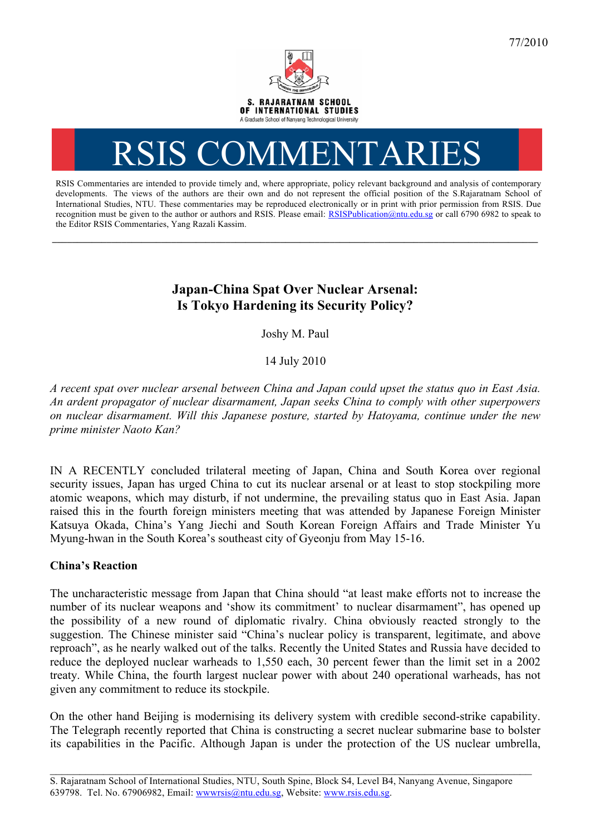

# RSIS COMMENTARI

RSIS Commentaries are intended to provide timely and, where appropriate, policy relevant background and analysis of contemporary developments. The views of the authors are their own and do not represent the official position of the S.Rajaratnam School of International Studies, NTU. These commentaries may be reproduced electronically or in print with prior permission from RSIS. Due recognition must be given to the author or authors and RSIS. Please email: RSISPublication@ntu.edu.sg or call 6790 6982 to speak to the Editor RSIS Commentaries, Yang Razali Kassim.

**\_\_\_\_\_\_\_\_\_\_\_\_\_\_\_\_\_\_\_\_\_\_\_\_\_\_\_\_\_\_\_\_\_\_\_\_\_\_\_\_\_\_\_\_\_\_\_\_\_\_\_\_\_\_\_\_\_\_\_\_\_\_\_\_\_\_\_\_\_\_\_\_\_\_\_\_\_\_\_\_\_\_\_\_\_\_\_\_\_\_\_\_\_\_\_\_\_\_**

# **Japan-China Spat Over Nuclear Arsenal: Is Tokyo Hardening its Security Policy?**

Joshy M. Paul

14 July 2010

*A recent spat over nuclear arsenal between China and Japan could upset the status quo in East Asia. An ardent propagator of nuclear disarmament, Japan seeks China to comply with other superpowers on nuclear disarmament. Will this Japanese posture, started by Hatoyama, continue under the new prime minister Naoto Kan?*

IN A RECENTLY concluded trilateral meeting of Japan, China and South Korea over regional security issues, Japan has urged China to cut its nuclear arsenal or at least to stop stockpiling more atomic weapons, which may disturb, if not undermine, the prevailing status quo in East Asia. Japan raised this in the fourth foreign ministers meeting that was attended by Japanese Foreign Minister Katsuya Okada, China's Yang Jiechi and South Korean Foreign Affairs and Trade Minister Yu Myung-hwan in the South Korea's southeast city of Gyeonju from May 15-16.

## **China's Reaction**

The uncharacteristic message from Japan that China should "at least make efforts not to increase the number of its nuclear weapons and 'show its commitment' to nuclear disarmament", has opened up the possibility of a new round of diplomatic rivalry. China obviously reacted strongly to the suggestion. The Chinese minister said "China's nuclear policy is transparent, legitimate, and above reproach", as he nearly walked out of the talks. Recently the United States and Russia have decided to reduce the deployed nuclear warheads to 1,550 each, 30 percent fewer than the limit set in a 2002 treaty. While China, the fourth largest nuclear power with about 240 operational warheads, has not given any commitment to reduce its stockpile.

On the other hand Beijing is modernising its delivery system with credible second-strike capability. The Telegraph recently reported that China is constructing a secret nuclear submarine base to bolster its capabilities in the Pacific. Although Japan is under the protection of the US nuclear umbrella,

\_\_\_\_\_\_\_\_\_\_\_\_\_\_\_\_\_\_\_\_\_\_\_\_\_\_\_\_\_\_\_\_\_\_\_\_\_\_\_\_\_\_\_\_\_\_\_\_\_\_\_\_\_\_\_\_\_\_\_\_\_\_\_\_\_\_\_\_\_\_\_\_\_\_\_\_\_\_\_\_\_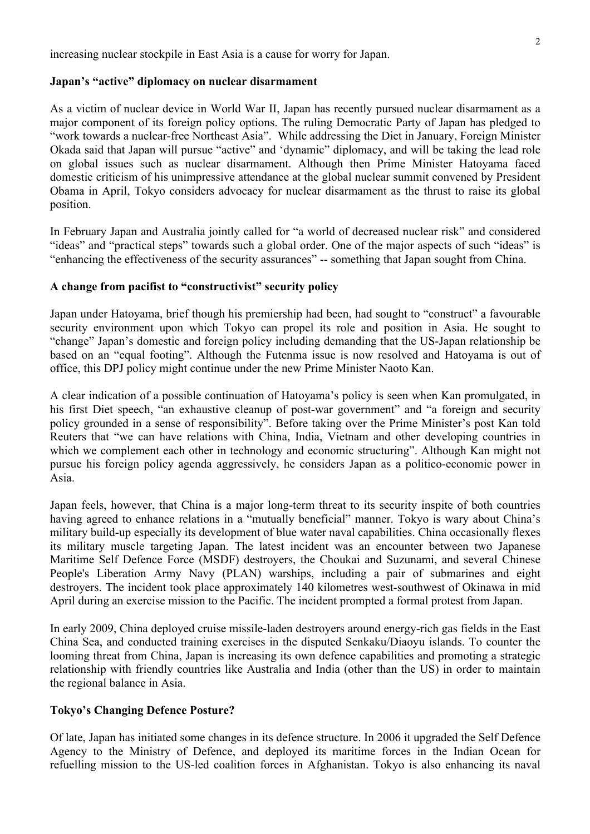increasing nuclear stockpile in East Asia is a cause for worry for Japan.

#### **Japan's "active" diplomacy on nuclear disarmament**

As a victim of nuclear device in World War II, Japan has recently pursued nuclear disarmament as a major component of its foreign policy options. The ruling Democratic Party of Japan has pledged to "work towards a nuclear-free Northeast Asia". While addressing the Diet in January, Foreign Minister Okada said that Japan will pursue "active" and 'dynamic" diplomacy, and will be taking the lead role on global issues such as nuclear disarmament. Although then Prime Minister Hatoyama faced domestic criticism of his unimpressive attendance at the global nuclear summit convened by President Obama in April, Tokyo considers advocacy for nuclear disarmament as the thrust to raise its global position.

In February Japan and Australia jointly called for "a world of decreased nuclear risk" and considered "ideas" and "practical steps" towards such a global order. One of the major aspects of such "ideas" is "enhancing the effectiveness of the security assurances" -- something that Japan sought from China.

#### **A change from pacifist to "constructivist" security policy**

Japan under Hatoyama, brief though his premiership had been, had sought to "construct" a favourable security environment upon which Tokyo can propel its role and position in Asia. He sought to "change" Japan's domestic and foreign policy including demanding that the US-Japan relationship be based on an "equal footing". Although the Futenma issue is now resolved and Hatoyama is out of office, this DPJ policy might continue under the new Prime Minister Naoto Kan.

A clear indication of a possible continuation of Hatoyama's policy is seen when Kan promulgated, in his first Diet speech, "an exhaustive cleanup of post-war government" and "a foreign and security policy grounded in a sense of responsibility". Before taking over the Prime Minister's post Kan told Reuters that "we can have relations with China, India, Vietnam and other developing countries in which we complement each other in technology and economic structuring". Although Kan might not pursue his foreign policy agenda aggressively, he considers Japan as a politico-economic power in Asia.

Japan feels, however, that China is a major long-term threat to its security inspite of both countries having agreed to enhance relations in a "mutually beneficial" manner. Tokyo is wary about China's military build-up especially its development of blue water naval capabilities. China occasionally flexes its military muscle targeting Japan. The latest incident was an encounter between two Japanese Maritime Self Defence Force (MSDF) destroyers, the Choukai and Suzunami, and several Chinese People's Liberation Army Navy (PLAN) warships, including a pair of submarines and eight destroyers. The incident took place approximately 140 kilometres west-southwest of Okinawa in mid April during an exercise mission to the Pacific. The incident prompted a formal protest from Japan.

In early 2009, China deployed cruise missile-laden destroyers around energy-rich gas fields in the East China Sea, and conducted training exercises in the disputed Senkaku/Diaoyu islands. To counter the looming threat from China, Japan is increasing its own defence capabilities and promoting a strategic relationship with friendly countries like Australia and India (other than the US) in order to maintain the regional balance in Asia.

## **Tokyo's Changing Defence Posture?**

Of late, Japan has initiated some changes in its defence structure. In 2006 it upgraded the Self Defence Agency to the Ministry of Defence, and deployed its maritime forces in the Indian Ocean for refuelling mission to the US-led coalition forces in Afghanistan. Tokyo is also enhancing its naval